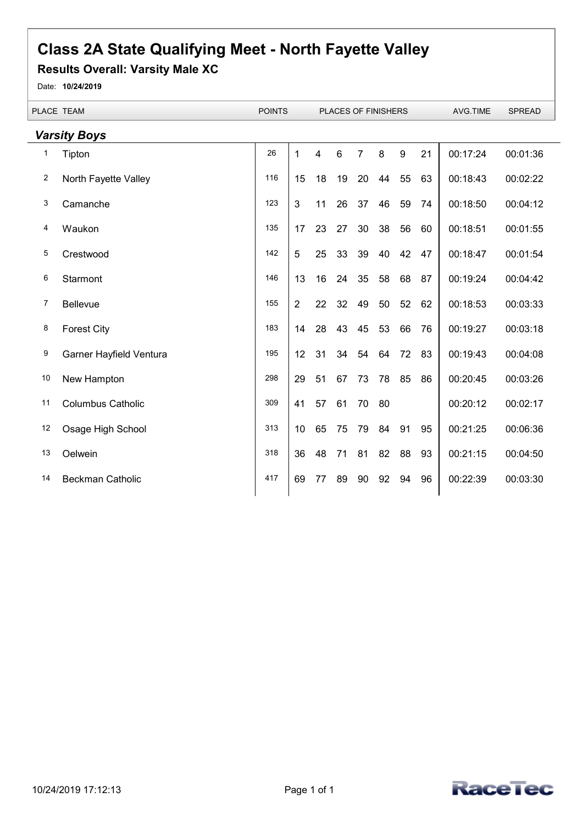## **Class 2A State Qualifying Meet - North Fayette Valley**

## **Results Overall: Varsity Male XC**

Date: **10/24/2019**

 $\overline{a}$ 

|                     | PLACE TEAM               | <b>POINTS</b> |                |    |    |    | PLACES OF FINISHERS |    |    | AVG.TIME | <b>SPREAD</b> |
|---------------------|--------------------------|---------------|----------------|----|----|----|---------------------|----|----|----------|---------------|
| <b>Varsity Boys</b> |                          |               |                |    |    |    |                     |    |    |          |               |
| 1                   | Tipton                   | 26            | 1              | 4  | 6  | 7  | 8                   | 9  | 21 | 00:17:24 | 00:01:36      |
| 2                   | North Fayette Valley     | 116           | 15             | 18 | 19 | 20 | 44                  | 55 | 63 | 00:18:43 | 00:02:22      |
| 3                   | Camanche                 | 123           | 3              | 11 | 26 | 37 | 46                  | 59 | 74 | 00:18:50 | 00:04:12      |
| 4                   | Waukon                   | 135           | 17             | 23 | 27 | 30 | 38                  | 56 | 60 | 00:18:51 | 00:01:55      |
| 5                   | Crestwood                | 142           | 5              | 25 | 33 | 39 | 40                  | 42 | 47 | 00:18:47 | 00:01:54      |
| 6                   | Starmont                 | 146           | 13             | 16 | 24 | 35 | 58                  | 68 | 87 | 00:19:24 | 00:04:42      |
| 7                   | Bellevue                 | 155           | $\overline{2}$ | 22 | 32 | 49 | 50                  | 52 | 62 | 00:18:53 | 00:03:33      |
| 8                   | <b>Forest City</b>       | 183           | 14             | 28 | 43 | 45 | 53                  | 66 | 76 | 00:19:27 | 00:03:18      |
| 9                   | Garner Hayfield Ventura  | 195           | 12             | 31 | 34 | 54 | 64                  | 72 | 83 | 00:19:43 | 00:04:08      |
| 10                  | New Hampton              | 298           | 29             | 51 | 67 | 73 | 78                  | 85 | 86 | 00:20:45 | 00:03:26      |
| 11                  | <b>Columbus Catholic</b> | 309           | 41             | 57 | 61 | 70 | 80                  |    |    | 00:20:12 | 00:02:17      |
| 12                  | Osage High School        | 313           | 10             | 65 | 75 | 79 | 84                  | 91 | 95 | 00:21:25 | 00:06:36      |
| 13                  | Oelwein                  | 318           | 36             | 48 | 71 | 81 | 82                  | 88 | 93 | 00:21:15 | 00:04:50      |
| 14                  | Beckman Catholic         | 417           | 69             | 77 | 89 | 90 | 92                  | 94 | 96 | 00:22:39 | 00:03:30      |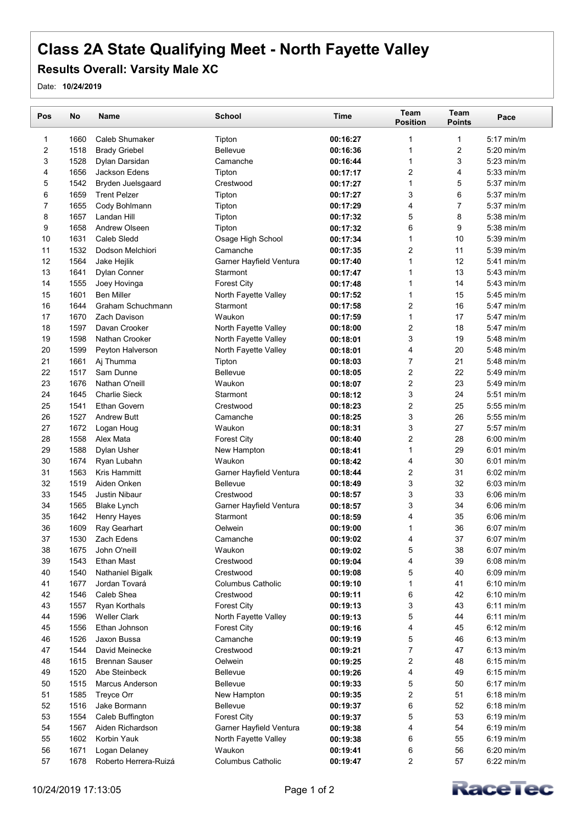## **Class 2A State Qualifying Meet - North Fayette Valley**

## **Results Overall: Varsity Male XC**

Date: **10/24/2019**

| Pos                     | No           | <b>Name</b>            | <b>School</b>            | <b>Time</b> | Team<br><b>Position</b> | Team<br><b>Points</b> | Pace         |  |
|-------------------------|--------------|------------------------|--------------------------|-------------|-------------------------|-----------------------|--------------|--|
| 1                       | 1660         | <b>Caleb Shumaker</b>  | Tipton                   | 00:16:27    | $\mathbf 1$             | $\mathbf{1}$          | $5:17$ min/m |  |
| $\overline{\mathbf{c}}$ | 1518         | <b>Brady Griebel</b>   | <b>Bellevue</b>          | 00:16:36    | $\mathbf 1$             | $\overline{c}$        | $5:20$ min/m |  |
| 3                       | 1528         | Dylan Darsidan         | Camanche                 | 00:16:44    | $\mathbf{1}$            | 3                     | 5:23 min/m   |  |
| 4                       | 1656         | Jackson Edens          | Tipton                   | 00:17:17    | 2                       | 4                     | $5:33$ min/m |  |
| 5                       | 1542         | Bryden Juelsgaard      | Crestwood                | 00:17:27    | $\mathbf{1}$            | 5                     | $5:37$ min/m |  |
| 6                       | 1659         | <b>Trent Pelzer</b>    | Tipton                   | 00:17:27    | 3                       | 6                     | $5:37$ min/m |  |
| $\overline{7}$          | 1655         | Cody Bohlmann          | Tipton                   | 00:17:29    | 4                       | $\overline{7}$        | $5:37$ min/m |  |
| 8                       | 1657         | Landan Hill            | Tipton                   | 00:17:32    | 5                       | 8                     | $5:38$ min/m |  |
| 9                       | 1658         | Andrew Olseen          | Tipton                   | 00:17:32    | 6                       | 9                     | $5:38$ min/m |  |
| 10                      | 1631         | Caleb Sledd            | Osage High School        | 00:17:34    | $\mathbf{1}$            | 10                    | 5:39 min/m   |  |
| 11                      | 1532         | Dodson Melchiori       | Camanche                 | 00:17:35    | $\overline{2}$          | 11                    | $5:39$ min/m |  |
| 12                      | 1564         | Jake Hejlik            | Garner Hayfield Ventura  | 00:17:40    | $\mathbf{1}$            | 12                    | $5:41$ min/m |  |
| 13                      | 1641         | <b>Dylan Conner</b>    | Starmont                 | 00:17:47    | $\mathbf{1}$            | 13                    | $5:43$ min/m |  |
| 14                      | 1555         | Joey Hovinga           | <b>Forest City</b>       | 00:17:48    | $\mathbf{1}$            | 14                    | $5:43$ min/m |  |
| 15                      | 1601         | <b>Ben Miller</b>      | North Fayette Valley     | 00:17:52    | $\mathbf{1}$            | 15                    | $5:45$ min/m |  |
| 16                      | 1644         | Graham Schuchmann      | Starmont                 | 00:17:58    | $\overline{2}$          | 16                    | 5:47 min/m   |  |
| 17                      | 1670         | Zach Davison           | Waukon                   | 00:17:59    | $\mathbf{1}$            | 17                    | 5:47 min/m   |  |
| 18                      | 1597         | Davan Crooker          | North Fayette Valley     | 00:18:00    | $\overline{2}$          | 18                    | 5:47 min/m   |  |
| 19                      | 1598         | Nathan Crooker         | North Fayette Valley     | 00:18:01    | 3                       | 19                    | $5:48$ min/m |  |
| 20                      | 1599         | Peyton Halverson       | North Fayette Valley     | 00:18:01    | 4                       | 20                    | $5:48$ min/m |  |
| 21                      | 1661         | Aj Thumma              | Tipton                   | 00:18:03    | $\overline{7}$          | 21                    | $5:48$ min/m |  |
| 22                      | 1517         | Sam Dunne              | <b>Bellevue</b>          | 00:18:05    | 2                       | 22                    | 5:49 min/m   |  |
| 23                      | 1676         | Nathan O'neill         | Waukon                   | 00:18:07    | $\overline{2}$          | 23                    | $5:49$ min/m |  |
| 24                      | 1645         | <b>Charlie Sieck</b>   | Starmont                 |             | 3                       | 24                    | 5:51 min/m   |  |
|                         | 1541         | <b>Ethan Govern</b>    | Crestwood                | 00:18:12    | $\overline{c}$          | 25                    |              |  |
| 25                      | 1527         | <b>Andrew Butt</b>     |                          | 00:18:23    |                         | 26                    | $5:55$ min/m |  |
| 26<br>27                | 1672         |                        | Camanche                 | 00:18:25    | 3                       | 27                    | $5:55$ min/m |  |
|                         |              | Logan Houg             | Waukon                   | 00:18:31    | 3<br>$\overline{2}$     | 28                    | 5:57 min/m   |  |
| 28                      | 1558         | Alex Mata              | <b>Forest City</b>       | 00:18:40    | $\mathbf{1}$            | 29                    | $6:00$ min/m |  |
| 29<br>30                | 1588<br>1674 | Dylan Usher            | New Hampton<br>Waukon    | 00:18:41    |                         | 30                    | $6:01$ min/m |  |
|                         |              | Ryan Lubahn            |                          | 00:18:42    | 4                       |                       | $6:01$ min/m |  |
| 31                      | 1563         | Kris Hammitt           | Garner Hayfield Ventura  | 00:18:44    | 2                       | 31                    | $6:02$ min/m |  |
| 32                      | 1519         | Aiden Onken            | <b>Bellevue</b>          | 00:18:49    | 3                       | 32                    | $6:03$ min/m |  |
| 33                      | 1545         | <b>Justin Nibaur</b>   | Crestwood                | 00:18:57    | 3                       | 33                    | $6:06$ min/m |  |
| 34                      | 1565         | <b>Blake Lynch</b>     | Garner Hayfield Ventura  | 00:18:57    | 3                       | 34                    | $6:06$ min/m |  |
| 35                      | 1642         | Henry Hayes            | Starmont                 | 00:18:59    | 4                       | 35                    | $6:06$ min/m |  |
| 36                      | 1609         | Ray Gearhart           | Oelwein                  | 00:19:00    | 1                       | 36                    | $6:07$ min/m |  |
| 37                      | 1530         | Zach Edens             | Camanche                 | 00:19:02    | 4                       | 37                    | $6:07$ min/m |  |
| 38                      | 1675         | John O'neill           | Waukon                   | 00:19:02    | 5                       | 38                    | $6:07$ min/m |  |
| 39                      | 1543         | <b>Ethan Mast</b>      | Crestwood                | 00:19:04    | 4                       | 39                    | $6:08$ min/m |  |
| 40                      | 1540         | Nathaniel Bigalk       | Crestwood                | 00:19:08    | 5                       | 40                    | $6:09$ min/m |  |
| 41                      | 1677         | Jordan Tovará          | <b>Columbus Catholic</b> | 00:19:10    | $\mathbf{1}$            | 41                    | $6:10$ min/m |  |
| 42                      | 1546         | Caleb Shea             | Crestwood                | 00:19:11    | 6                       | 42                    | $6:10$ min/m |  |
| 43                      | 1557         | Ryan Korthals          | <b>Forest City</b>       | 00:19:13    | 3                       | 43                    | $6:11$ min/m |  |
| 44                      | 1596         | <b>Weller Clark</b>    | North Fayette Valley     | 00:19:13    | $\mathbf 5$             | 44                    | $6:11$ min/m |  |
| 45                      | 1556         | Ethan Johnson          | <b>Forest City</b>       | 00:19:16    | 4                       | 45                    | $6:12$ min/m |  |
| 46                      | 1526         | Jaxon Bussa            | Camanche                 | 00:19:19    | $\mathbf 5$             | 46                    | $6:13$ min/m |  |
| 47                      | 1544         | David Meinecke         | Crestwood                | 00:19:21    | 7                       | 47                    | $6:13$ min/m |  |
| 48                      | 1615         | <b>Brennan Sauser</b>  | Oelwein                  | 00:19:25    | $\overline{\mathbf{c}}$ | 48                    | $6:15$ min/m |  |
| 49                      | 1520         | Abe Steinbeck          | <b>Bellevue</b>          | 00:19:26    | 4                       | 49                    | $6:15$ min/m |  |
| 50                      | 1515         | <b>Marcus Anderson</b> | <b>Bellevue</b>          | 00:19:33    | 5                       | 50                    | $6:17$ min/m |  |
| 51                      | 1585         | Treyce Orr             | New Hampton              | 00:19:35    | $\overline{\mathbf{c}}$ | 51                    | $6:18$ min/m |  |
| 52                      | 1516         | Jake Bormann           | <b>Bellevue</b>          | 00:19:37    | 6                       | 52                    | $6:18$ min/m |  |
| 53                      | 1554         | Caleb Buffington       | <b>Forest City</b>       | 00:19:37    | 5                       | 53                    | $6:19$ min/m |  |
| 54                      | 1567         | Aiden Richardson       | Garner Hayfield Ventura  | 00:19:38    | 4                       | 54                    | $6:19$ min/m |  |
| 55                      | 1602         | Korbin Yauk            | North Fayette Valley     | 00:19:38    | 6                       | 55                    | $6:19$ min/m |  |
| 56                      | 1671         | Logan Delaney          | Waukon                   | 00:19:41    | 6                       | 56                    | $6:20$ min/m |  |
| 57                      | 1678         | Roberto Herrera-Ruizá  | Columbus Catholic        | 00:19:47    | 2                       | 57                    | $6:22$ min/m |  |